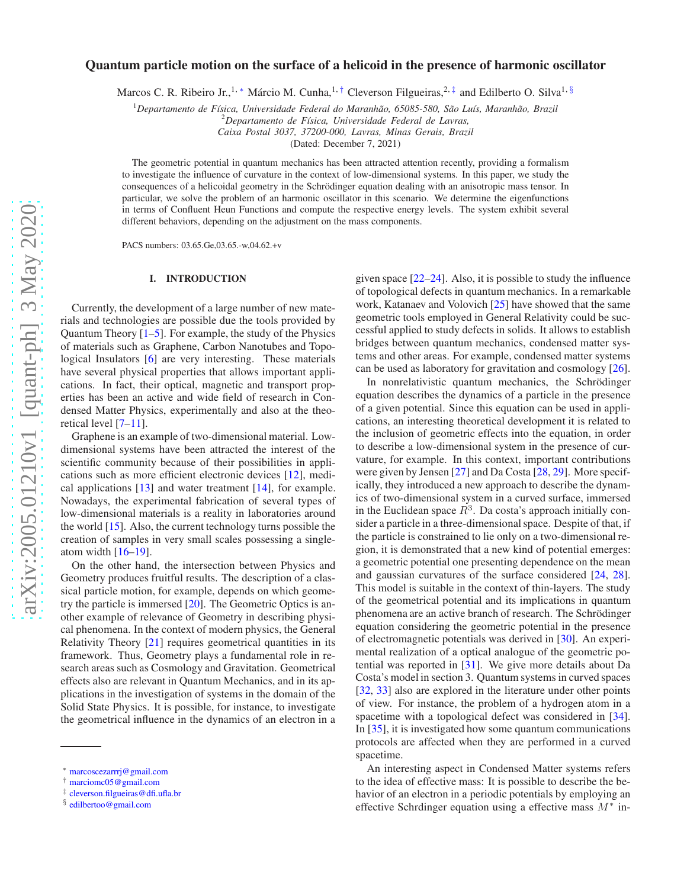# Quantum particle motion on the surface of a helicoid in the presence of harmonic oscillator

Marcos C. R. Ribeiro Jr.,<sup>1,\*</sup> Márcio M. Cunha,<sup>1,[†](#page-0-1)</sup> Cleverson Filgueiras,<sup>2,[‡](#page-0-2)</sup> and Edilberto O. Silva<sup>1, [§](#page-0-3)</sup>

<sup>1</sup>Departamento de Física, Universidade Federal do Maranhão, 65085-580, São Luís, Maranhão, Brazil

<sup>2</sup>*Departamento de F´ısica, Universidade Federal de Lavras,*

*Caixa Postal 3037, 37200-000, Lavras, Minas Gerais, Brazil*

(Dated: December 7, 2021)

The geometric potential in quantum mechanics has been attracted attention recently, providing a formalism to investigate the influence of curvature in the context of low-dimensional systems. In this paper, we study the consequences of a helicoidal geometry in the Schrödinger equation dealing with an anisotropic mass tensor. In particular, we solve the problem of an harmonic oscillator in this scenario. We determine the eigenfunctions in terms of Confluent Heun Functions and compute the respective energy levels. The system exhibit several different behaviors, depending on the adjustment on the mass components.

PACS numbers: 03.65.Ge,03.65.-w,04.62.+v

### I. INTRODUCTION

Currently, the development of a large number of new materials and technologies are possible due the tools provided by Quantum Theory [\[1](#page-9-0)[–5\]](#page-9-1). For example, the study of the Physics of materials such as Graphene, Carbon Nanotubes and Topological Insulators [\[6\]](#page-9-2) are very interesting. These materials have several physical properties that allows important applications. In fact, their optical, magnetic and transport properties has been an active and wide field of research in Condensed Matter Physics, experimentally and also at the theoretical level [\[7](#page-9-3)[–11](#page-9-4)].

Graphene is an example of two-dimensional material. Lowdimensional systems have been attracted the interest of the scientific community because of their possibilities in applications such as more efficient electronic devices [\[12\]](#page-9-5), medical applications [\[13\]](#page-9-6) and water treatment [\[14\]](#page-9-7), for example. Nowadays, the experimental fabrication of several types of low-dimensional materials is a reality in laboratories around the world [\[15\]](#page-9-8). Also, the current technology turns possible the creation of samples in very small scales possessing a singleatom width  $[16–19]$  $[16–19]$ .

On the other hand, the intersection between Physics and Geometry produces fruitful results. The description of a classical particle motion, for example, depends on which geometry the particle is immersed [\[20\]](#page-9-11). The Geometric Optics is another example of relevance of Geometry in describing physical phenomena. In the context of modern physics, the General Relativity Theory [\[21\]](#page-9-12) requires geometrical quantities in its framework. Thus, Geometry plays a fundamental role in research areas such as Cosmology and Gravitation. Geometrical effects also are relevant in Quantum Mechanics, and in its applications in the investigation of systems in the domain of the Solid State Physics. It is possible, for instance, to investigate the geometrical influence in the dynamics of an electron in a given space [\[22](#page-9-13)[–24\]](#page-9-14). Also, it is possible to study the influence of topological defects in quantum mechanics. In a remarkable work, Katanaev and Volovich [\[25](#page-9-15)] have showed that the same geometric tools employed in General Relativity could be successful applied to study defects in solids. It allows to establish bridges between quantum mechanics, condensed matter systems and other areas. For example, condensed matter systems can be used as laboratory for gravitation and cosmology [\[26](#page-9-16)].

In nonrelativistic quantum mechanics, the Schrödinger equation describes the dynamics of a particle in the presence of a given potential. Since this equation can be used in applications, an interesting theoretical development it is related to the inclusion of geometric effects into the equation, in order to describe a low-dimensional system in the presence of curvature, for example. In this context, important contributions were given by Jensen [\[27\]](#page-9-17) and Da Costa [\[28,](#page-9-18) [29\]](#page-9-19). More specifically, they introduced a new approach to describe the dynamics of two-dimensional system in a curved surface, immersed in the Euclidean space  $R^3$ . Da costa's approach initially consider a particle in a three-dimensional space. Despite of that, if the particle is constrained to lie only on a two-dimensional region, it is demonstrated that a new kind of potential emerges: a geometric potential one presenting dependence on the mean and gaussian curvatures of the surface considered [\[24,](#page-9-14) [28](#page-9-18)]. This model is suitable in the context of thin-layers. The study of the geometrical potential and its implications in quantum phenomena are an active branch of research. The Schrödinger equation considering the geometric potential in the presence of electromagnetic potentials was derived in [\[30\]](#page-9-20). An experimental realization of a optical analogue of the geometric potential was reported in [\[31\]](#page-9-21). We give more details about Da Costa's model in section 3. Quantum systems in curved spaces [\[32](#page-9-22), [33\]](#page-9-23) also are explored in the literature under other points of view. For instance, the problem of a hydrogen atom in a spacetime with a topological defect was considered in [\[34](#page-9-24)]. In [\[35](#page-9-25)], it is investigated how some quantum communications protocols are affected when they are performed in a curved spacetime.

An interesting aspect in Condensed Matter systems refers to the idea of effective mass: It is possible to describe the behavior of an electron in a periodic potentials by employing an effective Schrdinger equation using a effective mass  $M^*$  in-

<span id="page-0-0"></span><sup>∗</sup> [marcoscezarrrj@gmail.com](mailto:marcoscezarrrj@gmail.com)

<span id="page-0-1"></span><sup>†</sup> [marciomc05@gmail.com](mailto:marciomc05@gmail.com)

<span id="page-0-2"></span><sup>‡</sup> [cleverson.filgueiras@dfi.ufla.br](mailto:cleverson.filgueiras@dfi.ufla.br)

<span id="page-0-3"></span><sup>§</sup> [edilbertoo@gmail.com](mailto:edilbertoo@gmail.com)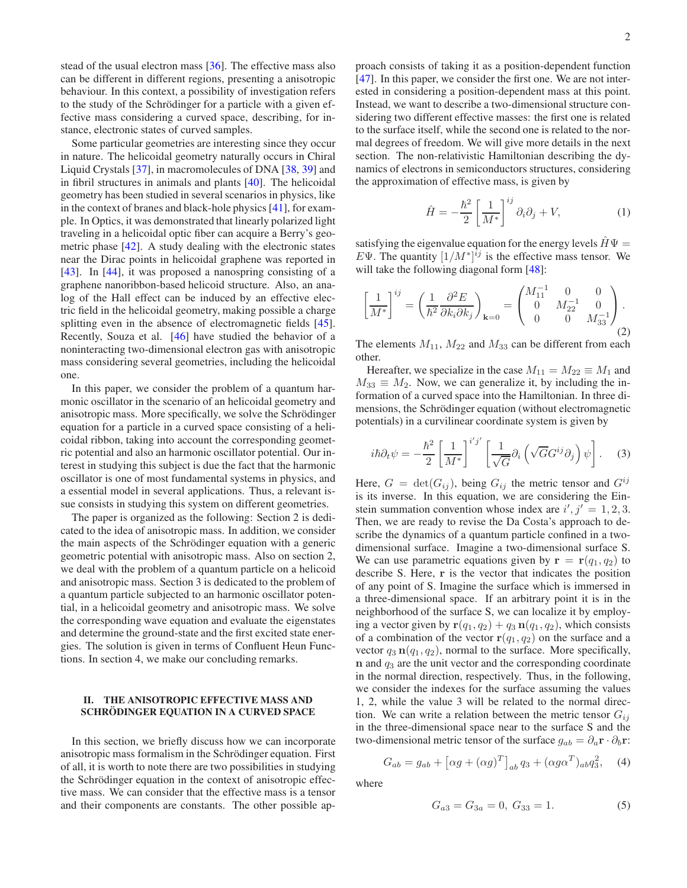stead of the usual electron mass [\[36\]](#page-9-26). The effective mass also can be different in different regions, presenting a anisotropic behaviour. In this context, a possibility of investigation refers to the study of the Schrödinger for a particle with a given effective mass considering a curved space, describing, for instance, electronic states of curved samples.

Some particular geometries are interesting since they occur in nature. The helicoidal geometry naturally occurs in Chiral Liquid Crystals [\[37](#page-9-27)], in macromolecules of DNA [\[38](#page-9-28), [39](#page-9-29)] and in fibril structures in animals and plants [\[40](#page-9-30)]. The helicoidal geometry has been studied in several scenarios in physics, like in the context of branes and black-hole physics [\[41\]](#page-9-31), for example. In Optics, it was demonstrated that linearly polarized light traveling in a helicoidal optic fiber can acquire a Berry's geometric phase [\[42\]](#page-9-32). A study dealing with the electronic states near the Dirac points in helicoidal graphene was reported in [\[43](#page-9-33)]. In [\[44\]](#page-9-34), it was proposed a nanospring consisting of a graphene nanoribbon-based helicoid structure. Also, an analog of the Hall effect can be induced by an effective electric field in the helicoidal geometry, making possible a charge splitting even in the absence of electromagnetic fields [\[45](#page-9-35)]. Recently, Souza et al. [\[46](#page-9-36)] have studied the behavior of a noninteracting two-dimensional electron gas with anisotropic mass considering several geometries, including the helicoidal one.

In this paper, we consider the problem of a quantum harmonic oscillator in the scenario of an helicoidal geometry and anisotropic mass. More specifically, we solve the Schrödinger equation for a particle in a curved space consisting of a helicoidal ribbon, taking into account the corresponding geometric potential and also an harmonic oscillator potential. Our interest in studying this subject is due the fact that the harmonic oscillator is one of most fundamental systems in physics, and a essential model in several applications. Thus, a relevant issue consists in studying this system on different geometries.

The paper is organized as the following: Section 2 is dedicated to the idea of anisotropic mass. In addition, we consider the main aspects of the Schrödinger equation with a generic geometric potential with anisotropic mass. Also on section 2, we deal with the problem of a quantum particle on a helicoid and anisotropic mass. Section 3 is dedicated to the problem of a quantum particle subjected to an harmonic oscillator potential, in a helicoidal geometry and anisotropic mass. We solve the corresponding wave equation and evaluate the eigenstates and determine the ground-state and the first excited state energies. The solution is given in terms of Confluent Heun Functions. In section 4, we make our concluding remarks.

#### II. THE ANISOTROPIC EFFECTIVE MASS AND SCHRODINGER EQUATION IN A CURVED SPACE

In this section, we briefly discuss how we can incorporate anisotropic mass formalism in the Schrödinger equation. First of all, it is worth to note there are two possibilities in studying the Schrödinger equation in the context of anisotropic effective mass. We can consider that the effective mass is a tensor and their components are constants. The other possible ap-

proach consists of taking it as a position-dependent function [\[47](#page-9-37)]. In this paper, we consider the first one. We are not interested in considering a position-dependent mass at this point. Instead, we want to describe a two-dimensional structure considering two different effective masses: the first one is related to the surface itself, while the second one is related to the normal degrees of freedom. We will give more details in the next section. The non-relativistic Hamiltonian describing the dynamics of electrons in semiconductors structures, considering the approximation of effective mass, is given by

$$
\hat{H} = -\frac{\hbar^2}{2} \left[ \frac{1}{M^*} \right]^{ij} \partial_i \partial_j + V,\tag{1}
$$

satisfying the eigenvalue equation for the energy levels  $H\Psi =$ EΨ. The quantity  $[1/M^*]^{ij}$  is the effective mass tensor. We will take the following diagonal form [\[48\]](#page-9-38):

$$
\left[\frac{1}{M^*}\right]^{ij} = \left(\frac{1}{\hbar^2} \frac{\partial^2 E}{\partial k_i \partial k_j}\right)_{\mathbf{k}=0} = \begin{pmatrix} M_{11}^{-1} & 0 & 0\\ 0 & M_{22}^{-1} & 0\\ 0 & 0 & M_{33}^{-1} \end{pmatrix}.
$$
\n(2)

The elements  $M_{11}$ ,  $M_{22}$  and  $M_{33}$  can be different from each other.

Hereafter, we specialize in the case  $M_{11} = M_{22} \equiv M_1$  and  $M_{33} \equiv M_2$ . Now, we can generalize it, by including the information of a curved space into the Hamiltonian. In three dimensions, the Schrödinger equation (without electromagnetic potentials) in a curvilinear coordinate system is given by

$$
i\hbar \partial_t \psi = -\frac{\hbar^2}{2} \left[ \frac{1}{M^*} \right]^{i'j'} \left[ \frac{1}{\sqrt{G}} \partial_i \left( \sqrt{G} G^{ij} \partial_j \right) \psi \right]. \tag{3}
$$

Here,  $G = \det(G_{ij})$ , being  $G_{ij}$  the metric tensor and  $G^{ij}$ is its inverse. In this equation, we are considering the Einstein summation convention whose index are  $i', j' = 1, 2, 3$ . Then, we are ready to revise the Da Costa's approach to describe the dynamics of a quantum particle confined in a twodimensional surface. Imagine a two-dimensional surface S. We can use parametric equations given by  $\mathbf{r} = \mathbf{r}(q_1, q_2)$  to describe S. Here, r is the vector that indicates the position of any point of S. Imagine the surface which is immersed in a three-dimensional space. If an arbitrary point it is in the neighborhood of the surface S, we can localize it by employing a vector given by  $\mathbf{r}(q_1, q_2) + q_3 \mathbf{n}(q_1, q_2)$ , which consists of a combination of the vector  $r(q_1, q_2)$  on the surface and a vector  $q_3$   $\mathbf{n}(q_1, q_2)$ , normal to the surface. More specifically,  $n$  and  $q_3$  are the unit vector and the corresponding coordinate in the normal direction, respectively. Thus, in the following, we consider the indexes for the surface assuming the values 1, 2, while the value 3 will be related to the normal direction. We can write a relation between the metric tensor  $G_{ij}$ in the three-dimensional space near to the surface S and the two-dimensional metric tensor of the surface  $g_{ab} = \partial_a \mathbf{r} \cdot \partial_b \mathbf{r}$ :

<span id="page-1-0"></span>
$$
G_{ab} = g_{ab} + \left[ \alpha g + (\alpha g)^T \right]_{ab} q_3 + (\alpha g \alpha^T)_{ab} q_3^2, \quad (4)
$$

where

$$
G_{a3} = G_{3a} = 0, G_{33} = 1.
$$
 (5)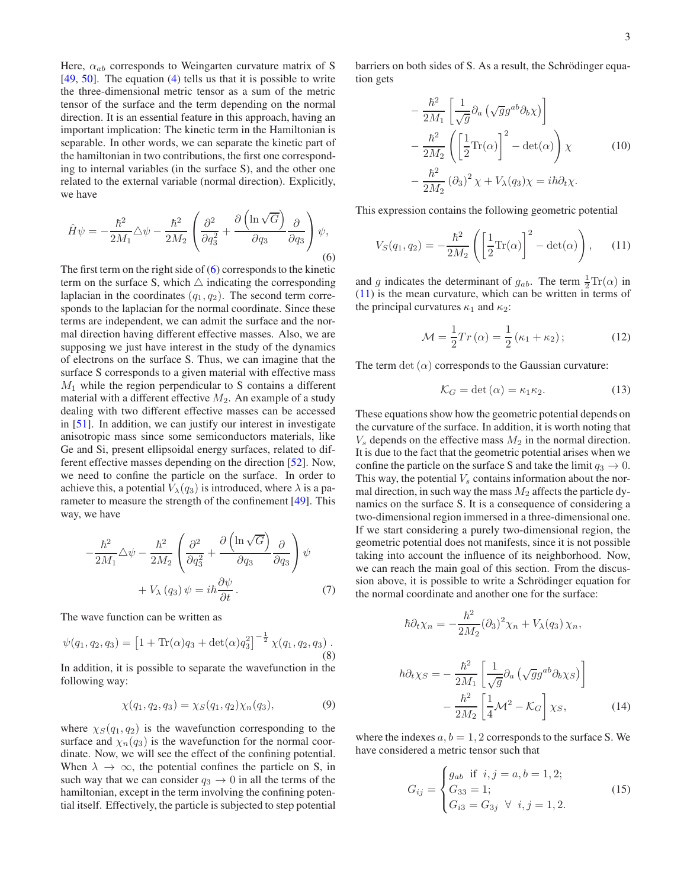Here,  $\alpha_{ab}$  corresponds to Weingarten curvature matrix of S [\[49](#page-9-39), [50\]](#page-9-40). The equation [\(4\)](#page-1-0) tells us that it is possible to write the three-dimensional metric tensor as a sum of the metric tensor of the surface and the term depending on the normal direction. It is an essential feature in this approach, having an important implication: The kinetic term in the Hamiltonian is separable. In other words, we can separate the kinetic part of the hamiltonian in two contributions, the first one corresponding to internal variables (in the surface S), and the other one related to the external variable (normal direction). Explicitly, we have

<span id="page-2-0"></span>
$$
\hat{H}\psi = -\frac{\hbar^2}{2M_1}\triangle\psi - \frac{\hbar^2}{2M_2}\left(\frac{\partial^2}{\partial q_3^2} + \frac{\partial\left(\ln\sqrt{G}\right)}{\partial q_3}\frac{\partial}{\partial q_3}\right)\psi,
$$
\n(6)

The first term on the right side of  $(6)$  corresponds to the kinetic term on the surface S, which  $\triangle$  indicating the corresponding laplacian in the coordinates  $(q_1, q_2)$ . The second term corresponds to the laplacian for the normal coordinate. Since these terms are independent, we can admit the surface and the normal direction having different effective masses. Also, we are supposing we just have interest in the study of the dynamics of electrons on the surface S. Thus, we can imagine that the surface S corresponds to a given material with effective mass  $M_1$  while the region perpendicular to S contains a different material with a different effective  $M_2$ . An example of a study dealing with two different effective masses can be accessed in [\[51](#page-9-41)]. In addition, we can justify our interest in investigate anisotropic mass since some semiconductors materials, like Ge and Si, present ellipsoidal energy surfaces, related to different effective masses depending on the direction [\[52](#page-9-42)]. Now, we need to confine the particle on the surface. In order to achieve this, a potential  $V_{\lambda}(q_3)$  is introduced, where  $\lambda$  is a parameter to measure the strength of the confinement [\[49\]](#page-9-39). This way, we have

$$
-\frac{\hbar^2}{2M_1}\Delta\psi - \frac{\hbar^2}{2M_2}\left(\frac{\partial^2}{\partial q_3^2} + \frac{\partial(\ln\sqrt{G})}{\partial q_3}\frac{\partial}{\partial q_3}\right)\psi
$$

$$
+ V_{\lambda}(q_3)\psi = i\hbar\frac{\partial\psi}{\partial t}.
$$
(7)

The wave function can be written as

$$
\psi(q_1, q_2, q_3) = \left[1 + \text{Tr}(\alpha)q_3 + \det(\alpha)q_3^2\right]^{-\frac{1}{2}} \chi(q_1, q_2, q_3).
$$
\n(8)

In addition, it is possible to separate the wavefunction in the following way:

$$
\chi(q_1, q_2, q_3) = \chi_S(q_1, q_2) \chi_n(q_3), \tag{9}
$$

where  $\chi_S(q_1, q_2)$  is the wavefunction corresponding to the surface and  $\chi_n(q_3)$  is the wavefunction for the normal coordinate. Now, we will see the effect of the confining potential. When  $\lambda \to \infty$ , the potential confines the particle on S, in such way that we can consider  $q_3 \rightarrow 0$  in all the terms of the hamiltonian, except in the term involving the confining potential itself. Effectively, the particle is subjected to step potential barriers on both sides of S. As a result, the Schrödinger equation gets

$$
-\frac{\hbar^2}{2M_1} \left[ \frac{1}{\sqrt{g}} \partial_a \left( \sqrt{g} g^{ab} \partial_b \chi \right) \right] \n-\frac{\hbar^2}{2M_2} \left( \left[ \frac{1}{2} \text{Tr}(\alpha) \right]^2 - \det(\alpha) \right) \chi \qquad (10) \n-\frac{\hbar^2}{2M_2} (\partial_3)^2 \chi + V_\lambda(q_3) \chi = i\hbar \partial_t \chi.
$$

This expression contains the following geometric potential

<span id="page-2-1"></span>
$$
V_S(q_1, q_2) = -\frac{\hbar^2}{2M_2} \left( \left[ \frac{1}{2} \text{Tr}(\alpha) \right]^2 - \det(\alpha) \right), \quad (11)
$$

and g indicates the determinant of  $g_{ab}$ . The term  $\frac{1}{2} \text{Tr}(\alpha)$  in [\(11\)](#page-2-1) is the mean curvature, which can be written in terms of the principal curvatures  $\kappa_1$  and  $\kappa_2$ :

$$
\mathcal{M} = \frac{1}{2} Tr(\alpha) = \frac{1}{2} (\kappa_1 + \kappa_2); \tag{12}
$$

The term det  $(\alpha)$  corresponds to the Gaussian curvature:

$$
\mathcal{K}_G = \det(\alpha) = \kappa_1 \kappa_2. \tag{13}
$$

These equations show how the geometric potential depends on the curvature of the surface. In addition, it is worth noting that  $V<sub>s</sub>$  depends on the effective mass  $M<sub>2</sub>$  in the normal direction. It is due to the fact that the geometric potential arises when we confine the particle on the surface S and take the limit  $q_3 \to 0$ . This way, the potential  $V_s$  contains information about the normal direction, in such way the mass  $M_2$  affects the particle dynamics on the surface S. It is a consequence of considering a two-dimensional region immersed in a three-dimensional one. If we start considering a purely two-dimensional region, the geometric potential does not manifests, since it is not possible taking into account the influence of its neighborhood. Now, we can reach the main goal of this section. From the discussion above, it is possible to write a Schrödinger equation for the normal coordinate and another one for the surface:

$$
\hbar \partial_t \chi_n = -\frac{\hbar^2}{2M_2} (\partial_3)^2 \chi_n + V_\lambda(q_3) \chi_n,
$$

$$
\hbar \partial_t \chi_S = -\frac{\hbar^2}{2M_1} \left[ \frac{1}{\sqrt{g}} \partial_a \left( \sqrt{g} g^{ab} \partial_b \chi_S \right) \right] -\frac{\hbar^2}{2M_2} \left[ \frac{1}{4} \mathcal{M}^2 - \mathcal{K}_G \right] \chi_S, \tag{14}
$$

where the indexes  $a, b = 1, 2$  corresponds to the surface S. We have considered a metric tensor such that

$$
G_{ij} = \begin{cases} g_{ab} & \text{if } i, j = a, b = 1, 2; \\ G_{33} = 1; \\ G_{i3} = G_{3j} \ \forall \ i, j = 1, 2. \end{cases}
$$
 (15)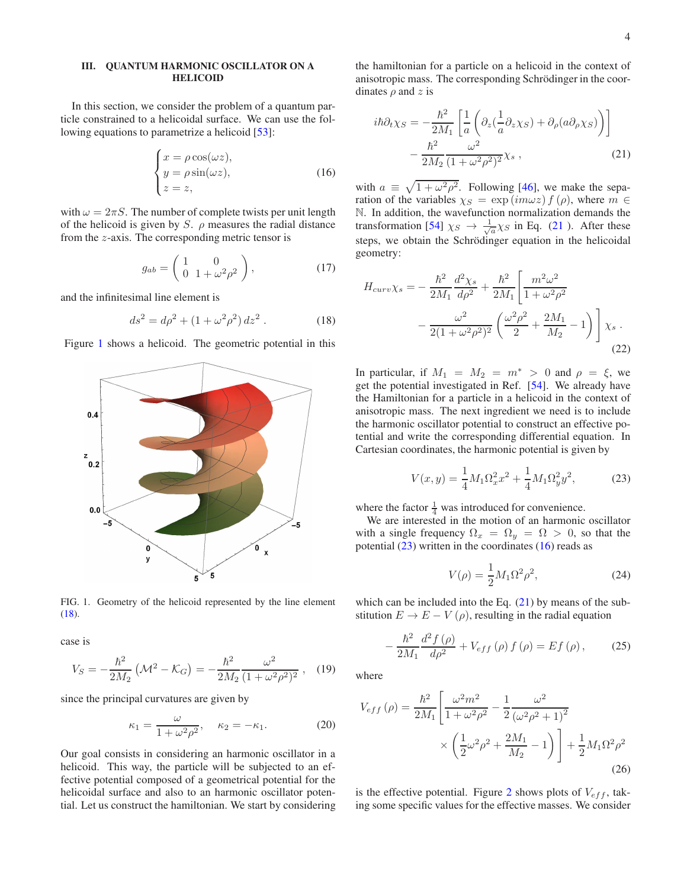### III. QUANTUM HARMONIC OSCILLATOR ON A HELICOID

In this section, we consider the problem of a quantum particle constrained to a helicoidal surface. We can use the fol-lowing equations to parametrize a helicoid [\[53](#page-9-43)]:

<span id="page-3-4"></span>
$$
\begin{cases}\n x = \rho \cos(\omega z), \\
y = \rho \sin(\omega z), \\
z = z,\n\end{cases}
$$
\n(16)

with  $\omega = 2\pi S$ . The number of complete twists per unit length of the helicoid is given by S.  $\rho$  measures the radial distance from the z-axis. The corresponding metric tensor is

$$
g_{ab} = \begin{pmatrix} 1 & 0 \\ 0 & 1 + \omega^2 \rho^2 \end{pmatrix}, \tag{17}
$$

and the infinitesimal line element is

<span id="page-3-1"></span>
$$
ds^2 = d\rho^2 + (1 + \omega^2 \rho^2) dz^2.
$$
 (18)

Figure [1](#page-3-0) shows a helicoid. The geometric potential in this



<span id="page-3-0"></span>FIG. 1. Geometry of the helicoid represented by the line element [\(18\)](#page-3-1).

case is

$$
V_S = -\frac{\hbar^2}{2M_2} \left( \mathcal{M}^2 - \mathcal{K}_G \right) = -\frac{\hbar^2}{2M_2} \frac{\omega^2}{(1 + \omega^2 \rho^2)^2} \,, \quad (19)
$$

since the principal curvatures are given by

$$
\kappa_1 = \frac{\omega}{1 + \omega^2 \rho^2}, \quad \kappa_2 = -\kappa_1. \tag{20}
$$

Our goal consists in considering an harmonic oscillator in a helicoid. This way, the particle will be subjected to an effective potential composed of a geometrical potential for the helicoidal surface and also to an harmonic oscillator potential. Let us construct the hamiltonian. We start by considering

the hamiltonian for a particle on a helicoid in the context of anisotropic mass. The corresponding Schrödinger in the coordinates  $\rho$  and  $z$  is

<span id="page-3-2"></span>
$$
i\hbar \partial_t \chi_S = -\frac{\hbar^2}{2M_1} \left[ \frac{1}{a} \left( \partial_z \left( \frac{1}{a} \partial_z \chi_S \right) + \partial_\rho (a \partial_\rho \chi_S) \right) \right] -\frac{\hbar^2}{2M_2} \frac{\omega^2}{(1 + \omega^2 \rho^2)^2} \chi_s , \qquad (21)
$$

with  $a \equiv \sqrt{1 + \omega^2 \rho^2}$ . Following [\[46](#page-9-36)], we make the separation of the variables  $\chi_S = \exp(im\omega z) f(\rho)$ , where  $m \in$ N. In addition, the wavefunction normalization demands the transformation [\[54\]](#page-9-44)  $\chi_S \to \frac{1}{\sqrt{a}} \chi_S$  in Eq. [\(21](#page-3-2)). After these steps, we obtain the Schrödinger equation in the helicoidal geometry:

$$
H_{curv}\chi_s = -\frac{\hbar^2}{2M_1}\frac{d^2\chi_s}{d\rho^2} + \frac{\hbar^2}{2M_1}\left[\frac{m^2\omega^2}{1+\omega^2\rho^2} -\frac{\omega^2}{2(1+\omega^2\rho^2)^2}\left(\frac{\omega^2\rho^2}{2} + \frac{2M_1}{M_2} - 1\right)\right]\chi_s.
$$
\n(22)

In particular, if  $M_1 = M_2 = m^* > 0$  and  $\rho = \xi$ , we get the potential investigated in Ref. [\[54\]](#page-9-44). We already have the Hamiltonian for a particle in a helicoid in the context of anisotropic mass. The next ingredient we need is to include the harmonic oscillator potential to construct an effective potential and write the corresponding differential equation. In Cartesian coordinates, the harmonic potential is given by

<span id="page-3-3"></span>
$$
V(x,y) = \frac{1}{4}M_1\Omega_x^2 x^2 + \frac{1}{4}M_1\Omega_y^2 y^2,
$$
 (23)

where the factor  $\frac{1}{4}$  was introduced for convenience.

We are interested in the motion of an harmonic oscillator with a single frequency  $\Omega_x = \Omega_y = \Omega > 0$ , so that the potential  $(23)$  written in the coordinates  $(16)$  reads as

<span id="page-3-5"></span>
$$
V(\rho) = \frac{1}{2} M_1 \Omega^2 \rho^2,
$$
 (24)

which can be included into the Eq.  $(21)$  by means of the substitution  $E \to E - V(\rho)$ , resulting in the radial equation

<span id="page-3-6"></span>
$$
-\frac{\hbar^2}{2M_1}\frac{d^2f(\rho)}{d\rho^2} + V_{eff}(\rho)f(\rho) = Ef(\rho),
$$
 (25)

where

$$
V_{eff}(\rho) = \frac{\hbar^2}{2M_1} \left[ \frac{\omega^2 m^2}{1 + \omega^2 \rho^2} - \frac{1}{2} \frac{\omega^2}{(\omega^2 \rho^2 + 1)^2} \times \left( \frac{1}{2} \omega^2 \rho^2 + \frac{2M_1}{M_2} - 1 \right) \right] + \frac{1}{2} M_1 \Omega^2 \rho^2
$$
\n(26)

is the effective potential. Figure [2](#page-4-0) shows plots of  $V_{eff}$ , taking some specific values for the effective masses. We consider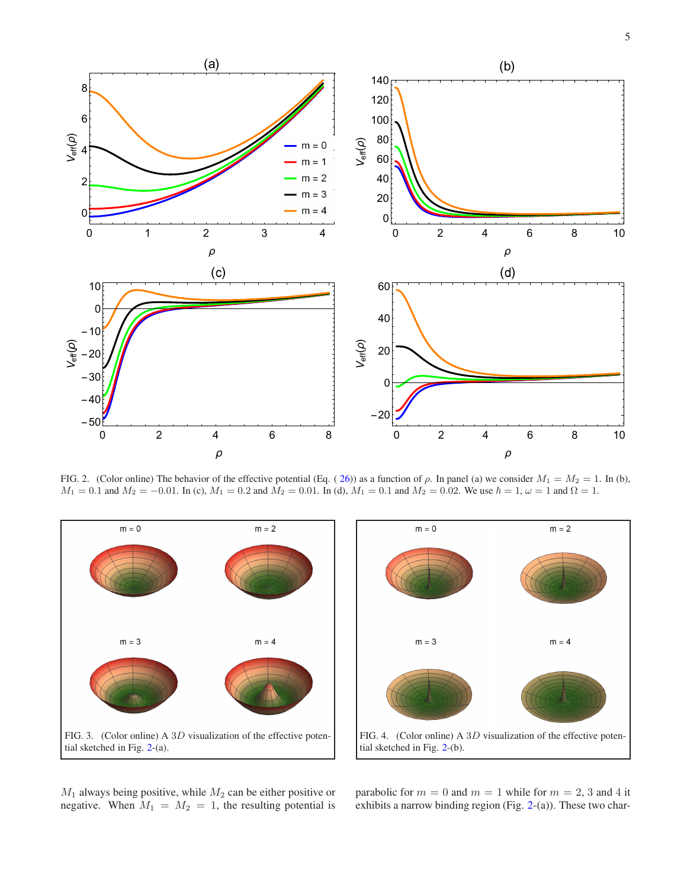

<span id="page-4-0"></span>FIG. 2. (Color online) The behavior of the effective potential (Eq. ([26\)](#page-3-5)) as a function of  $\rho$ . In panel (a) we consider  $M_1 = M_2 = 1$ . In (b),  $M_1 = 0.1$  and  $M_2 = -0.01$ . In (c),  $M_1 = 0.2$  and  $\tilde{M}_2 = 0.01$ . In (d),  $M_1 = 0.1$  and  $M_2 = 0.02$ . We use  $\hbar = 1$ ,  $\omega = 1$  and  $\Omega = 1$ .





<span id="page-4-1"></span> $M_1$  always being positive, while  $M_2$  can be either positive or negative. When  $M_1 = M_2 = 1$ , the resulting potential is parabolic for  $m = 0$  and  $m = 1$  while for  $m = 2, 3$  and 4 it exhibits a narrow binding region (Fig. [2-](#page-4-0)(a)). These two char-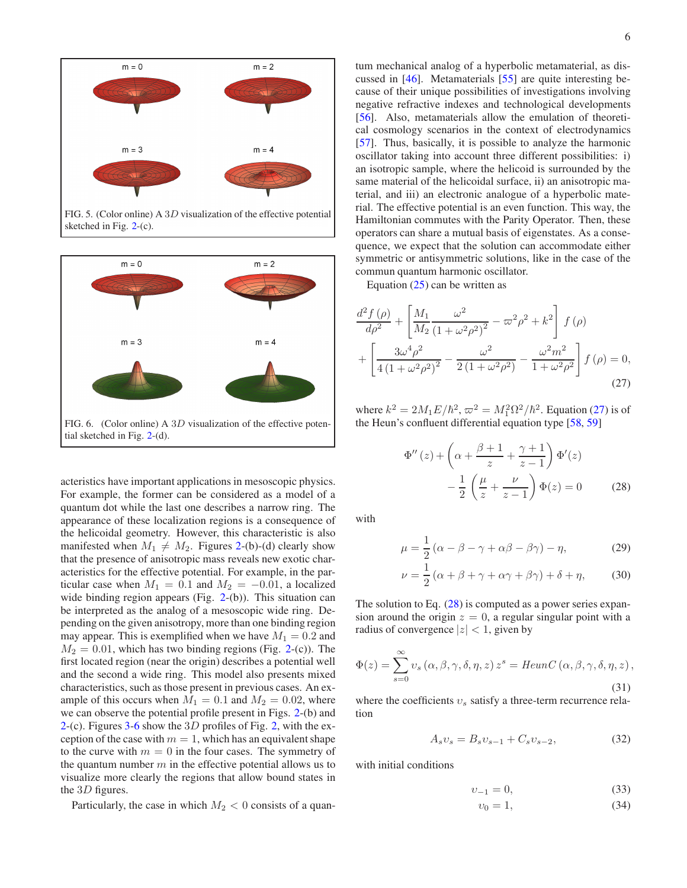

FIG. 5. (Color online) A 3D visualization of the effective potential sketched in Fig. [2-](#page-4-0)(c).



<span id="page-5-0"></span>acteristics have important applications in mesoscopic physics. For example, the former can be considered as a model of a quantum dot while the last one describes a narrow ring. The appearance of these localization regions is a consequence of the helicoidal geometry. However, this characteristic is also manifested when  $M_1 \neq M_2$ . Figures [2-](#page-4-0)(b)-(d) clearly show that the presence of anisotropic mass reveals new exotic characteristics for the effective potential. For example, in the particular case when  $M_1 = 0.1$  and  $M_2 = -0.01$ , a localized wide binding region appears (Fig. [2-](#page-4-0)(b)). This situation can be interpreted as the analog of a mesoscopic wide ring. Depending on the given anisotropy, more than one binding region may appear. This is exemplified when we have  $M_1 = 0.2$  and  $M_2 = 0.01$ , which has two binding regions (Fig. [2-](#page-4-0)(c)). The first located region (near the origin) describes a potential well and the second a wide ring. This model also presents mixed characteristics, such as those present in previous cases. An example of this occurs when  $M_1 = 0.1$  and  $M_2 = 0.02$ , where we can observe the potential profile present in Figs. [2-](#page-4-0)(b) and [2-](#page-4-0)(c). Figures [3-](#page-4-1)[6](#page-5-0) show the 3D profiles of Fig. [2,](#page-4-0) with the exception of the case with  $m = 1$ , which has an equivalent shape to the curve with  $m = 0$  in the four cases. The symmetry of the quantum number  $m$  in the effective potential allows us to visualize more clearly the regions that allow bound states in the 3D figures.

Particularly, the case in which  $M_2 < 0$  consists of a quan-

tum mechanical analog of a hyperbolic metamaterial, as discussed in [\[46\]](#page-9-36). Metamaterials [\[55\]](#page-9-45) are quite interesting because of their unique possibilities of investigations involving negative refractive indexes and technological developments [\[56](#page-9-46)]. Also, metamaterials allow the emulation of theoretical cosmology scenarios in the context of electrodynamics [\[57](#page-9-47)]. Thus, basically, it is possible to analyze the harmonic oscillator taking into account three different possibilities: i) an isotropic sample, where the helicoid is surrounded by the same material of the helicoidal surface, ii) an anisotropic material, and iii) an electronic analogue of a hyperbolic material. The effective potential is an even function. This way, the Hamiltonian commutes with the Parity Operator. Then, these operators can share a mutual basis of eigenstates. As a consequence, we expect that the solution can accommodate either symmetric or antisymmetric solutions, like in the case of the commun quantum harmonic oscillator.

Equation [\(25\)](#page-3-6) can be written as

$$
\frac{d^2 f(\rho)}{d\rho^2} + \left[ \frac{M_1}{M_2} \frac{\omega^2}{\left(1 + \omega^2 \rho^2\right)^2} - \omega^2 \rho^2 + k^2 \right] f(\rho) + \left[ \frac{3\omega^4 \rho^2}{4\left(1 + \omega^2 \rho^2\right)^2} - \frac{\omega^2}{2\left(1 + \omega^2 \rho^2\right)} - \frac{\omega^2 m^2}{1 + \omega^2 \rho^2} \right] f(\rho) = 0,
$$
\n(27)

where  $k^2 = 2M_1 E/\hbar^2$ ,  $\varpi^2 = M_1^2 \Omega^2/\hbar^2$ . Equation [\(27\)](#page-5-1) is of the Heun's confluent differential equation type [\[58](#page-10-0), [59](#page-10-1)]

<span id="page-5-2"></span><span id="page-5-1"></span>
$$
\Phi''(z) + \left(\alpha + \frac{\beta + 1}{z} + \frac{\gamma + 1}{z - 1}\right)\Phi'(z)
$$

$$
-\frac{1}{2}\left(\frac{\mu}{z} + \frac{\nu}{z - 1}\right)\Phi(z) = 0 \tag{28}
$$

with

<span id="page-5-5"></span>
$$
\mu = \frac{1}{2} \left( \alpha - \beta - \gamma + \alpha \beta - \beta \gamma \right) - \eta,\tag{29}
$$

<span id="page-5-6"></span>
$$
\nu = \frac{1}{2} \left( \alpha + \beta + \gamma + \alpha \gamma + \beta \gamma \right) + \delta + \eta, \tag{30}
$$

The solution to Eq.  $(28)$  is computed as a power series expansion around the origin  $z = 0$ , a regular singular point with a radius of convergence  $|z| < 1$ , given by

<span id="page-5-4"></span>
$$
\Phi(z) = \sum_{s=0}^{\infty} \nu_s (\alpha, \beta, \gamma, \delta, \eta, z) z^s = \text{HeunC} (\alpha, \beta, \gamma, \delta, \eta, z),
$$
\n(31)

where the coefficients  $v<sub>s</sub>$  satisfy a three-term recurrence relation

<span id="page-5-3"></span>
$$
A_s v_s = B_s v_{s-1} + C_s v_{s-2}, \tag{32}
$$

with initial conditions

$$
v_{-1} = 0,\t\t(33)
$$

$$
v_0 = 1,\t\t(34)
$$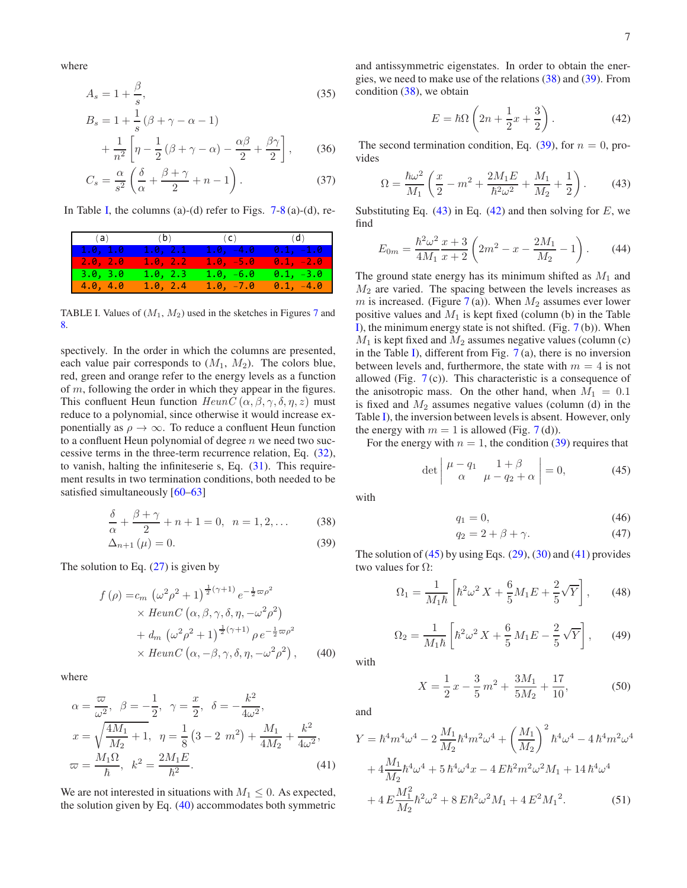where

$$
A_s = 1 + \frac{\beta}{s},\tag{35}
$$

$$
B_s = 1 + \frac{1}{s} \left( \beta + \gamma - \alpha - 1 \right)
$$

$$
+ \frac{1}{n^2} \left[ \eta - \frac{1}{2} \left( \beta + \gamma - \alpha \right) - \frac{\alpha \beta}{2} + \frac{\beta \gamma}{2} \right], \qquad (36)
$$

$$
C_s = \frac{\alpha}{s^2} \left( \frac{\delta}{\alpha} + \frac{\beta + \gamma}{2} + n - 1 \right). \tag{37}
$$

In Table [I,](#page-6-0) the columns (a)-(d) refer to Figs.  $7-8$  $7-8$  (a)-(d), re-

|          |          | (a) (b) (c) (d) |             |
|----------|----------|-----------------|-------------|
| 1.0, 1.0 | 1.0, 2.1 | $1.0, -4.0$     | $0.1, -1.0$ |
| 2.0, 2.0 | 1.0, 2.2 | $1.0, -5.0$     | $0.1, -2.0$ |
| 3.0, 3.0 | 1.0, 2.3 | $1.0, -6.0$     | $0.1, -3.0$ |
| 4.0, 4.0 | 1.0, 2.4 | $1.0, -7.0$     | $0.1, -4.0$ |

<span id="page-6-0"></span>TABLE I. Values of  $(M_1, M_2)$  used in the sketches in Figures [7](#page-7-0) and [8.](#page-8-0)

spectively. In the order in which the columns are presented, each value pair corresponds to  $(M_1, M_2)$ . The colors blue, red, green and orange refer to the energy levels as a function of m, following the order in which they appear in the figures. This confluent Heun function  $HeunC(\alpha, \beta, \gamma, \delta, \eta, z)$  must reduce to a polynomial, since otherwise it would increase exponentially as  $\rho \to \infty$ . To reduce a confluent Heun function to a confluent Heun polynomial of degree  $n$  we need two successive terms in the three-term recurrence relation, Eq. [\(32\)](#page-5-3), to vanish, halting the infiniteserie s, Eq. [\(31\)](#page-5-4). This requirement results in two termination conditions, both needed to be satisfied simultaneously [\[60](#page-10-2)[–63](#page-10-3)]

$$
\frac{\delta}{\alpha} + \frac{\beta + \gamma}{2} + n + 1 = 0, \ \ n = 1, 2, \dots
$$
 (38)

$$
\Delta_{n+1}(\mu) = 0. \tag{39}
$$

The solution to Eq.  $(27)$  is given by

$$
f(\rho) = c_m \left(\omega^2 \rho^2 + 1\right)^{\frac{1}{2}(\gamma+1)} e^{-\frac{1}{2}\omega \rho^2}
$$
  
 
$$
\times \text{HeunC}\left(\alpha, \beta, \gamma, \delta, \eta, -\omega^2 \rho^2\right)
$$
  
+  $d_m \left(\omega^2 \rho^2 + 1\right)^{\frac{1}{2}(\gamma+1)} \rho e^{-\frac{1}{2}\omega \rho^2}$   
 
$$
\times \text{HeunC}\left(\alpha, -\beta, \gamma, \delta, \eta, -\omega^2 \rho^2\right), \qquad (40)
$$

where

$$
\alpha = \frac{\varpi}{\omega^2}, \ \beta = -\frac{1}{2}, \ \gamma = \frac{x}{2}, \ \delta = -\frac{k^2}{4\omega^2},
$$
  

$$
x = \sqrt{\frac{4M_1}{M_2} + 1}, \ \eta = \frac{1}{8} (3 - 2 \ m^2) + \frac{M_1}{4M_2} + \frac{k^2}{4\omega^2},
$$
  

$$
\varpi = \frac{M_1 \Omega}{\hbar}, \ k^2 = \frac{2M_1 E}{\hbar^2}.
$$
 (41)

We are not interested in situations with  $M_1 \leq 0$ . As expected, the solution given by Eq. [\(40\)](#page-6-1) accommodates both symmetric

and antissymmetric eigenstates. In order to obtain the energies, we need to make use of the relations [\(38\)](#page-6-2) and [\(39\)](#page-6-3). From condition [\(38\)](#page-6-2), we obtain

<span id="page-6-5"></span>
$$
E = \hbar\Omega \left(2n + \frac{1}{2}x + \frac{3}{2}\right). \tag{42}
$$

The second termination condition, Eq.  $(39)$ , for  $n = 0$ , provides

<span id="page-6-4"></span>
$$
\Omega = \frac{\hbar\omega^2}{M_1} \left(\frac{x}{2} - m^2 + \frac{2M_1E}{\hbar^2\omega^2} + \frac{M_1}{M_2} + \frac{1}{2}\right). \tag{43}
$$

Substituting Eq.  $(43)$  in Eq.  $(42)$  and then solving for E, we find

$$
E_{0m} = \frac{\hbar^2 \omega^2}{4M_1} \frac{x+3}{x+2} \left( 2m^2 - x - \frac{2M_1}{M_2} - 1 \right). \tag{44}
$$

The ground state energy has its minimum shifted as  $M_1$  and  $M<sub>2</sub>$  are varied. The spacing between the levels increases as m is increased. (Figure [7](#page-7-0)(a)). When  $M_2$  assumes ever lower positive values and  $M_1$  is kept fixed (column (b) in the Table [I\)](#page-6-0), the minimum energy state is not shifted. (Fig.  $7<sub>(b)</sub>$  $7<sub>(b)</sub>$ ). When  $M_1$  is kept fixed and  $M_2$  assumes negative values (column (c) in the Table [I\)](#page-6-0), different from Fig.  $7(a)$  $7(a)$ , there is no inversion between levels and, furthermore, the state with  $m = 4$  is not allowed (Fig.  $7(c)$  $7(c)$ ). This characteristic is a consequence of the anisotropic mass. On the other hand, when  $M_1 = 0.1$ is fixed and  $M_2$  assumes negative values (column (d) in the Table [I\)](#page-6-0), the inversion between levels is absent. However, only the energy with  $m = 1$  is allowed (Fig. [7](#page-7-0)(d)).

For the energy with  $n = 1$ , the condition [\(39\)](#page-6-3) requires that

<span id="page-6-6"></span>
$$
\det \begin{vmatrix} \mu - q_1 & 1 + \beta \\ \alpha & \mu - q_2 + \alpha \end{vmatrix} = 0, \tag{45}
$$

<span id="page-6-2"></span>with

$$
q_1 = 0,\t\t(46)
$$

$$
q_2 = 2 + \beta + \gamma. \tag{47}
$$

<span id="page-6-3"></span>The solution of  $(45)$  by using Eqs.  $(29)$ ,  $(30)$  and  $(41)$  provides two values for  $\Omega$ :

<span id="page-6-8"></span>
$$
\Omega_1 = \frac{1}{M_1 \hbar} \left[ \hbar^2 \omega^2 X + \frac{6}{5} M_1 E + \frac{2}{5} \sqrt{Y} \right],\qquad(48)
$$

<span id="page-6-9"></span>
$$
\Omega_2 = \frac{1}{M_1 \hbar} \left[ \hbar^2 \omega^2 X + \frac{6}{5} M_1 E - \frac{2}{5} \sqrt{Y} \right],\qquad(49)
$$

<span id="page-6-1"></span>with

$$
X = \frac{1}{2}x - \frac{3}{5}m^2 + \frac{3M_1}{5M_2} + \frac{17}{10},
$$
 (50)

and

<span id="page-6-7"></span>
$$
Y = \hbar^4 m^4 \omega^4 - 2 \frac{M_1}{M_2} \hbar^4 m^2 \omega^4 + \left(\frac{M_1}{M_2}\right)^2 \hbar^4 \omega^4 - 4 \hbar^4 m^2 \omega^4
$$

$$
+ 4 \frac{M_1}{M_2} \hbar^4 \omega^4 + 5 \hbar^4 \omega^4 x - 4 E \hbar^2 m^2 \omega^2 M_1 + 14 \hbar^4 \omega^4
$$

$$
+ 4 E \frac{M_1^2}{M_2} \hbar^2 \omega^2 + 8 E \hbar^2 \omega^2 M_1 + 4 E^2 M_1^2. \tag{51}
$$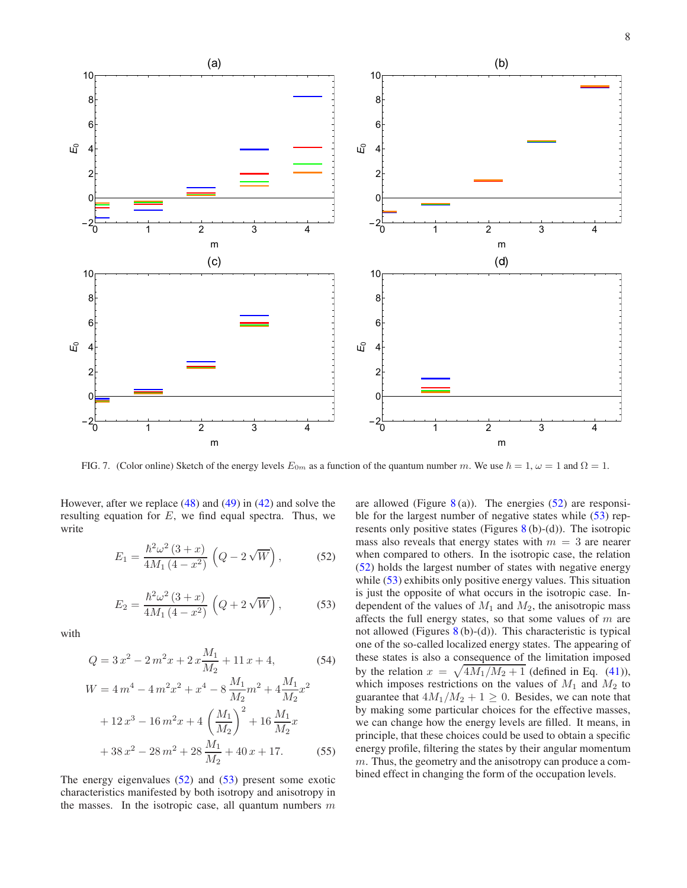

<span id="page-7-0"></span>FIG. 7. (Color online) Sketch of the energy levels  $E_{0m}$  as a function of the quantum number m. We use  $\hbar = 1$ ,  $\omega = 1$  and  $\Omega = 1$ .

However, after we replace [\(48\)](#page-6-8) and [\(49\)](#page-6-9) in [\(42\)](#page-6-5) and solve the resulting equation for  $E$ , we find equal spectra. Thus, we write

<span id="page-7-1"></span>
$$
E_1 = \frac{\hbar^2 \omega^2 (3+x)}{4M_1 (4-x^2)} \left( Q - 2\sqrt{W} \right),
$$
 (52)

<span id="page-7-2"></span>
$$
E_2 = \frac{\hbar^2 \omega^2 (3+x)}{4M_1 (4-x^2)} \left( Q + 2\sqrt{W} \right),\tag{53}
$$

with

$$
Q = 3x^2 - 2m^2x + 2x\frac{M_1}{M_2} + 11x + 4,\tag{54}
$$

$$
W = 4m^{4} - 4m^{2}x^{2} + x^{4} - 8\frac{M_{1}}{M_{2}}m^{2} + 4\frac{M_{1}}{M_{2}}x^{2}
$$

$$
+ 12x^{3} - 16m^{2}x + 4\left(\frac{M_{1}}{M_{2}}\right)^{2} + 16\frac{M_{1}}{M_{2}}x
$$

$$
+ 38x^{2} - 28m^{2} + 28\frac{M_{1}}{M_{2}} + 40x + 17.
$$
 (55)

The energy eigenvalues  $(52)$  and  $(53)$  present some exotic characteristics manifested by both isotropy and anisotropy in the masses. In the isotropic case, all quantum numbers  $m$ 

are allowed (Figure  $8(a)$  $8(a)$ ). The energies [\(52\)](#page-7-1) are responsible for the largest number of negative states while  $(53)$  represents only positive states (Figures  $8(b)-(d)$  $8(b)-(d)$ ). The isotropic mass also reveals that energy states with  $m = 3$  are nearer when compared to others. In the isotropic case, the relation [\(52\)](#page-7-1) holds the largest number of states with negative energy while [\(53\)](#page-7-2) exhibits only positive energy values. This situation is just the opposite of what occurs in the isotropic case. Independent of the values of  $M_1$  and  $M_2$ , the anisotropic mass affects the full energy states, so that some values of  $m$  are not allowed (Figures  $8(b)-(d)$  $8(b)-(d)$ ). This characteristic is typical one of the so-called localized energy states. The appearing of these states is also a consequence of the limitation imposed by the relation  $x = \sqrt{4M_1/M_2 + 1}$  (defined in Eq. [\(41\)](#page-6-7)), which imposes restrictions on the values of  $M_1$  and  $M_2$  to guarantee that  $4M_1/M_2 + 1 \geq 0$ . Besides, we can note that by making some particular choices for the effective masses, we can change how the energy levels are filled. It means, in principle, that these choices could be used to obtain a specific energy profile, filtering the states by their angular momentum m. Thus, the geometry and the anisotropy can produce a combined effect in changing the form of the occupation levels.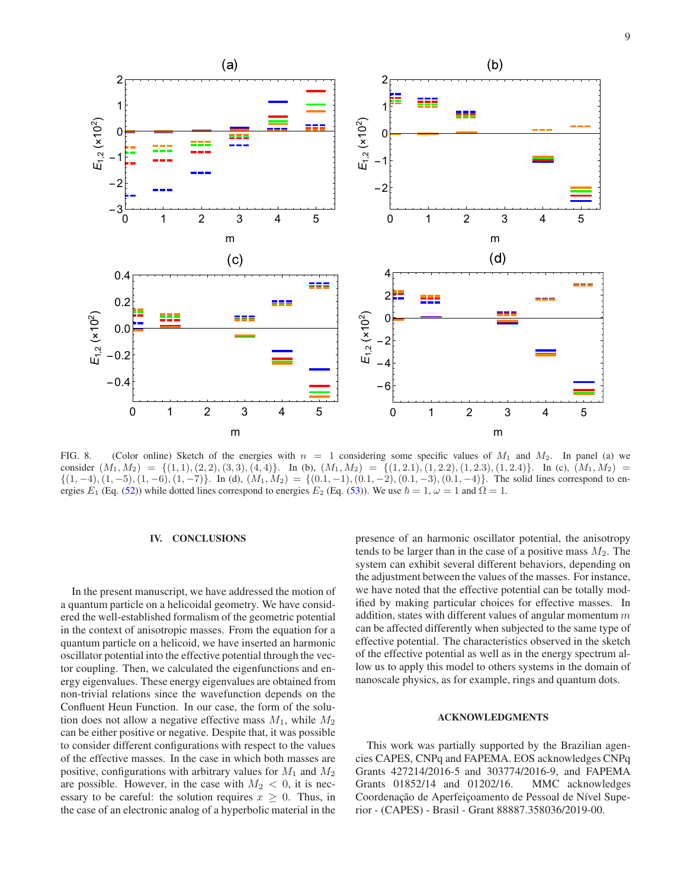

<span id="page-8-0"></span>FIG. 8. (Color online) Sketch of the energies with  $n = 1$  considering some specific values of  $M_1$  and  $M_2$ . In panel (a) we consider  $(M_1, M_2) = \{(1, 1), (2, 2), (3, 3), (4, 4)\}.$  In (b),  $(M_1, M_2) = \{(1, 2.1), (1, 2.2), (1, 2.3), (1, 2.4)\}.$  In (c),  $(M_1, M_2) =$  $\{(1,-4),(1,-5),(1,-6),(1,-7)\}.$  In (d),  $(M_1,M_2) = \{(0.1,-1),(0.1,-2),(0.1,-3),(0.1,-4)\}.$  The solid lines correspond to energies  $E_1$  (Eq. [\(52\)](#page-7-1)) while dotted lines correspond to energies  $E_2$  (Eq. [\(53\)](#page-7-2)). We use  $\hbar = 1$ ,  $\omega = 1$  and  $\Omega = 1$ .

#### IV. CONCLUSIONS

In the present manuscript, we have addressed the motion of a quantum particle on a helicoidal geometry. We have considered the well-established formalism of the geometric potential in the context of anisotropic masses. From the equation for a quantum particle on a helicoid, we have inserted an harmonic oscillator potential into the effective potential through the vector coupling. Then, we calculated the eigenfunctions and energy eigenvalues. These energy eigenvalues are obtained from non-trivial relations since the wavefunction depends on the Confluent Heun Function. In our case, the form of the solution does not allow a negative effective mass  $M_1$ , while  $M_2$ can be either positive or negative. Despite that, it was possible to consider different configurations with respect to the values of the effective masses. In the case in which both masses are positive, configurations with arbitrary values for  $M_1$  and  $M_2$ are possible. However, in the case with  $M_2 < 0$ , it is necessary to be careful: the solution requires  $x \geq 0$ . Thus, in the case of an electronic analog of a hyperbolic material in the presence of an harmonic oscillator potential, the anisotropy tends to be larger than in the case of a positive mass  $M_2$ . The system can exhibit several different behaviors, depending on the adjustment between the values of the masses. For instance, we have noted that the effective potential can be totally modified by making particular choices for effective masses. In addition, states with different values of angular momentum  $m$ can be affected differently when subjected to the same type of effective potential. The characteristics observed in the sketch of the effective potential as well as in the energy spectrum allow us to apply this model to others systems in the domain of nanoscale physics, as for example, rings and quantum dots.

## ACKNOWLEDGMENTS

This work was partially supported by the Brazilian agencies CAPES, CNPq and FAPEMA. EOS acknowledges CNPq Grants 427214/2016-5 and 303774/2016-9, and FAPEMA Grants 01852/14 and 01202/16. MMC acknowledges Coordenação de Aperfeiçoamento de Pessoal de Nível Superior - (CAPES) - Brasil - Grant 88887.358036/2019-00.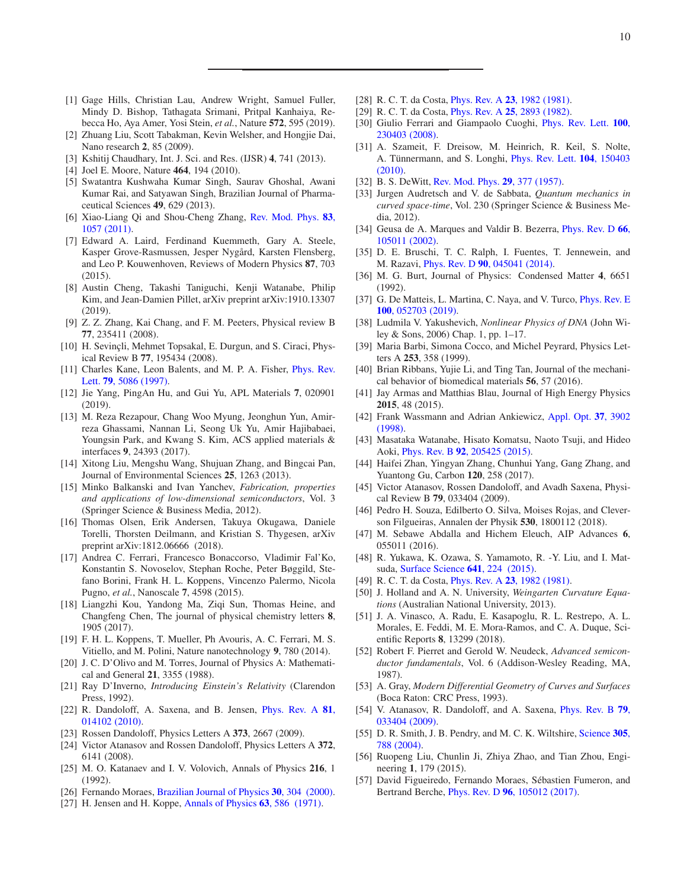- <span id="page-9-0"></span>[1] Gage Hills, Christian Lau, Andrew Wright, Samuel Fuller, Mindy D. Bishop, Tathagata Srimani, Pritpal Kanhaiya, Rebecca Ho, Aya Amer, Yosi Stein, *et al.*, Nature 572, 595 (2019).
- [2] Zhuang Liu, Scott Tabakman, Kevin Welsher, and Hongjie Dai, Nano research 2, 85 (2009).
- [3] Kshitij Chaudhary, Int. J. Sci. and Res. (IJSR) 4, 741 (2013).
- [4] Joel E. Moore, Nature **464**, 194 (2010).
- <span id="page-9-1"></span>[5] Swatantra Kushwaha Kumar Singh, Saurav Ghoshal, Awani Kumar Rai, and Satyawan Singh, Brazilian Journal of Pharmaceutical Sciences 49, 629 (2013).
- <span id="page-9-2"></span>[6] Xiao-Liang Qi and Shou-Cheng Zhang, Rev. Mod. Phys. 83, 1057 (2011).
- <span id="page-9-3"></span>[7] Edward A. Laird, Ferdinand Kuemmeth, Gary A. Steele, Kasper Grove-Rasmussen, Jesper Nygård, Karsten Flensberg, and Leo P. Kouwenhoven, Reviews of Modern Physics 87, 703  $(2015)$ .
- [8] Austin Cheng, Takashi Taniguchi, Kenji Watanabe, Philip Kim, and Jean-Damien Pillet, arXiv preprint arXiv:1910.13307 (2019).
- [9] Z. Z. Zhang, Kai Chang, and F. M. Peeters, Physical review B 77, 235411 (2008).
- [10] H. Sevinçli, Mehmet Topsakal, E. Durgun, and S. Ciraci, Physical Review B 77, 195434 (2008).
- <span id="page-9-4"></span>[11] Charles Kane, Leon Balents, and M. P. A. Fisher, *Phys. Rev.* Lett. 79, 5086 (1997).
- <span id="page-9-5"></span>[12] Jie Yang, PingAn Hu, and Gui Yu, APL Materials 7, 020901 (2019).
- <span id="page-9-6"></span>[13] M. Reza Rezapour, Chang Woo Myung, Jeonghun Yun, Amirreza Ghassami, Nannan Li, Seong Uk Yu, Amir Hajibabaei, Youngsin Park, and Kwang S. Kim, ACS applied materials & interfaces 9, 24393 (2017).
- <span id="page-9-7"></span>[14] Xitong Liu, Mengshu Wang, Shujuan Zhang, and Bingcai Pan, Journal of Environmental Sciences 25, 1263 (2013).
- <span id="page-9-8"></span>[15] Minko Balkanski and Ivan Yanchev, *Fabrication, properties and applications of low-dimensional semiconductors*, Vol. 3 (Springer Science & Business Media, 2012).
- <span id="page-9-9"></span>[16] Thomas Olsen, Erik Andersen, Takuya Okugawa, Daniele Torelli, Thorsten Deilmann, and Kristian S. Thygesen, arXiv preprint arXiv:1812.06666 (2018).
- [17] Andrea C. Ferrari, Francesco Bonaccorso, Vladimir Fal'Ko, Konstantin S. Novoselov, Stephan Roche, Peter Bøggild, Stefano Borini, Frank H. L. Koppens, Vincenzo Palermo, Nicola Pugno, *et al.*, Nanoscale 7, 4598 (2015).
- [18] Liangzhi Kou, Yandong Ma, Ziqi Sun, Thomas Heine, and Changfeng Chen, The journal of physical chemistry letters 8, 1905 (2017).
- <span id="page-9-10"></span>[19] F. H. L. Koppens, T. Mueller, Ph Avouris, A. C. Ferrari, M. S. Vitiello, and M. Polini, Nature nanotechnology 9, 780 (2014).
- <span id="page-9-11"></span>[20] J. C. D'Olivo and M. Torres, Journal of Physics A: Mathematical and General 21, 3355 (1988).
- <span id="page-9-12"></span>[21] Ray D'Inverno, *Introducing Einstein's Relativity* (Clarendon Press, 1992).
- <span id="page-9-13"></span>[22] R. Dandoloff, A. Saxena, and B. Jensen, *Phys. Rev. A* 81, 014102 (2010).
- [23] Rossen Dandoloff, Physics Letters A 373, 2667 (2009).
- <span id="page-9-14"></span>[24] Victor Atanasov and Rossen Dandoloff, Physics Letters A 372, 6141 (2008).
- <span id="page-9-15"></span>[25] M. O. Katanaev and I. V. Volovich, Annals of Physics 216, 1 (1992).
- <span id="page-9-16"></span>[26] Fernando Moraes, [Brazilian Journal of Physics](http://www.scielo.br/scielo.php?script=sci_arttext&pid=S0103-97332000000200011&nrm=iso) 30, 304 (2000).
- <span id="page-9-17"></span>[27] H. Jensen and H. Koppe, [Annals of Physics](https://doi.org/https://doi.org/10.1016/0003-4916(71)90031-5) **63**, 586 (1971).
- <span id="page-9-18"></span>[28] R. C. T. da Costa, *Phys. Rev. A* **23**[, 1982 \(1981\).](https://doi.org/10.1103/PhysRevA.23.1982)
- <span id="page-9-19"></span>[29] R. C. T. da Costa, Phys. Rev. A 25[, 2893 \(1982\).](https://doi.org/10.1103/PhysRevA.25.2893)
- <span id="page-9-20"></span>[30] Giulio Ferrari and Giampaolo Cuoghi, Phys. Rev. Lett. 100, 230403 (2008).
- <span id="page-9-21"></span>[31] A. Szameit, F. Dreisow, M. Heinrich, R. Keil, S. Nolte, A. Tünnermann, and S. Longhi, *Phys. Rev. Lett.* **104**, 150403 (2010)[.](https://doi.org/10.1103/PhysRevLett.104.150403)
- <span id="page-9-22"></span>[32] B. S. DeWitt, [Rev. Mod. Phys.](https://doi.org/10.1103/RevModPhys.29.377) **29**, 377 (1957).
- <span id="page-9-23"></span>[33] Jurgen Audretsch and V. de Sabbata, *Quantum mechanics in curved space-time*, Vol. 230 (Springer Science & Business Media, 2012).
- <span id="page-9-24"></span>[34] Geusa de A. Marques and Valdir B. Bezerra, *Phys. Rev. D* 66, 105011 (2002).
- <span id="page-9-25"></span>[35] D. E. Bruschi, T. C. Ralph, I. Fuentes, T. Jennewein, and M. Razavi, Phys. Rev. D 90[, 045041 \(2014\).](https://doi.org/10.1103/PhysRevD.90.045041)
- <span id="page-9-26"></span>[36] M. G. Burt, Journal of Physics: Condensed Matter 4, 6651 (1992).
- <span id="page-9-27"></span>[37] G. De Matteis, L. Martina, C. Naya, and V. Turco, *Phys. Rev. E* 100, 052703 (2019).
- <span id="page-9-28"></span>[38] Ludmila V. Yakushevich, *Nonlinear Physics of DNA* (John Wiley & Sons, 2006) Chap. 1, pp. 1–17.
- <span id="page-9-29"></span>[39] Maria Barbi, Simona Cocco, and Michel Peyrard, Physics Letters A 253, 358 (1999).
- <span id="page-9-30"></span>[40] Brian Ribbans, Yujie Li, and Ting Tan, Journal of the mechanical behavior of biomedical materials 56, 57 (2016).
- <span id="page-9-31"></span>[41] Jay Armas and Matthias Blau, Journal of High Energy Physics 2015, 48 (2015).
- <span id="page-9-32"></span>[42] Frank Wassmann and Adrian Ankiewicz, Appl. Opt. 37, 3902 (1998).
- <span id="page-9-33"></span>[43] Masataka Watanabe, Hisato Komatsu, Naoto Tsuji, and Hideo Aoki, Phys. Rev. B 92[, 205425 \(2015\).](https://doi.org/10.1103/PhysRevB.92.205425)
- <span id="page-9-34"></span>[44] Haifei Zhan, Yingyan Zhang, Chunhui Yang, Gang Zhang, and Yuantong Gu, Carbon 120, 258 (2017).
- <span id="page-9-35"></span>[45] Victor Atanasov, Rossen Dandoloff, and Avadh Saxena, Physical Review B 79, 033404 (2009).
- <span id="page-9-36"></span>[46] Pedro H. Souza, Edilberto O. Silva, Moises Rojas, and Cleverson Filgueiras, Annalen der Physik 530, 1800112 (2018).
- <span id="page-9-37"></span>[47] M. Sebawe Abdalla and Hichem Eleuch, AIP Advances 6, 055011 (2016).
- <span id="page-9-38"></span>[48] R. Yukawa, K. Ozawa, S. Yamamoto, R. -Y. Liu, and I. Matsuda, [Surface Science](https://doi.org/https://doi.org/10.1016/j.susc.2015.07.007) 641, 224 (2015).
- <span id="page-9-39"></span>[49] R. C. T. da Costa, *Phys. Rev. A* **23**[, 1982 \(1981\).](https://doi.org/10.1103/PhysRevA.23.1982)
- <span id="page-9-40"></span>[50] J. Holland and A. N. University, *Weingarten Curvature Equations* (Australian National University, 2013).
- <span id="page-9-41"></span>[51] J. A. Vinasco, A. Radu, E. Kasapoglu, R. L. Restrepo, A. L. Morales, E. Feddi, M. E. Mora-Ramos, and C. A. Duque, Scientific Reports 8, 13299 (2018).
- <span id="page-9-42"></span>[52] Robert F. Pierret and Gerold W. Neudeck, *Advanced semiconductor fundamentals*, Vol. 6 (Addison-Wesley Reading, MA, 1987).
- <span id="page-9-43"></span>[53] A. Gray, *Modern Differential Geometry of Curves and Surfaces* (Boca Raton: CRC Press, 1993).
- <span id="page-9-44"></span>[54] V. Atanasov, R. Dandoloff, and A. Saxena, Phys. Rev. B 79, 033404 (2009).
- <span id="page-9-45"></span>[55] D. R. Smith, J. B. Pendry, and M. C. K. Wiltshire, Science 305, 788 (2004).
- <span id="page-9-46"></span>[56] Ruopeng Liu, Chunlin Ji, Zhiya Zhao, and Tian Zhou, Engineering 1, 179 (2015).
- <span id="page-9-47"></span>[57] David Figueiredo, Fernando Moraes, Sébastien Fumeron, and Bertrand Berche, Phys. Rev. D 96[, 105012 \(2017\).](https://doi.org/10.1103/PhysRevD.96.105012)